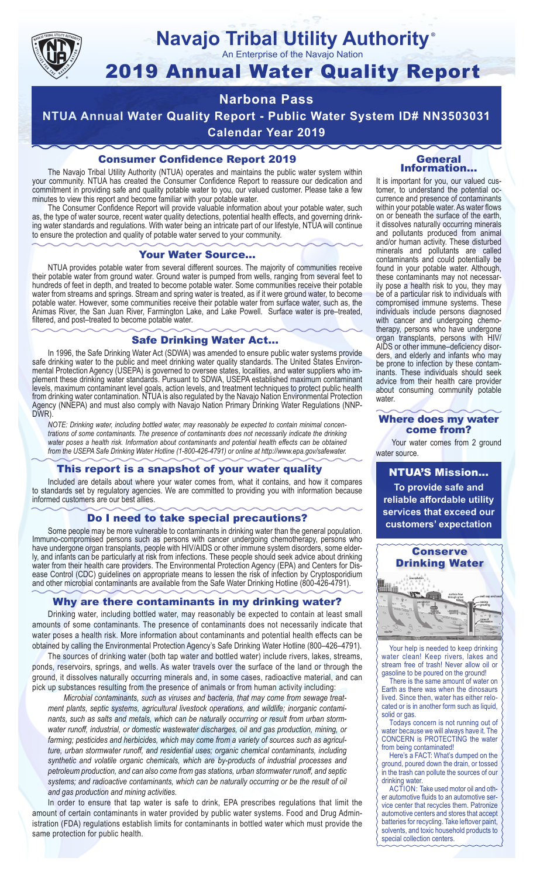

# **Navajo Tribal Utility Authority** ®

An Enterprise of the Navajo Nation

# 2019 Annual Water Quality Report

# **Narbona Pass**

**NTUA Annual Water Quality Report - Public Water System ID# NN3503031 Calendar Year 2019**

# Consumer Confidence Report 2019

The Navajo Tribal Utility Authority (NTUA) operates and maintains the public water system within your community. NTUA has created the Consumer Confidence Report to reassure our dedication and commitment in providing safe and quality potable water to you, our valued customer. Please take a few minutes to view this report and become familiar with your potable water.

The Consumer Confidence Report will provide valuable information about your potable water, such as, the type of water source, recent water quality detections, potential health effects, and governing drinking water standards and regulations. With water being an intricate part of our lifestyle, NTUA will continue to ensure the protection and quality of potable water served to your community.

#### Your Water Source…

NTUA provides potable water from several different sources. The majority of communities receive their potable water from ground water. Ground water is pumped from wells, ranging from several feet to hundreds of feet in depth, and treated to become potable water. Some communities receive their potable water from streams and springs. Stream and spring water is treated, as if it were ground water, to become potable water. However, some communities receive their potable water from surface water, such as, the Animas River, the San Juan River, Farmington Lake, and Lake Powell. Surface water is pre–treated, filtered, and post–treated to become potable water.

# Safe Drinking Water Act…

In 1996, the Safe Drinking Water Act (SDWA) was amended to ensure public water systems provide safe drinking water to the public and meet drinking water quality standards. The United States Environmental Protection Agency (USEPA) is governed to oversee states, localities, and water suppliers who implement these drinking water standards. Pursuant to SDWA, USEPA established maximum contaminant levels, maximum contaminant level goals, action levels, and treatment techniques to protect public health from drinking water contamination. NTUA is also regulated by the Navajo Nation Environmental Protection Agency (NNEPA) and must also comply with Navajo Nation Primary Drinking Water Regulations (NNP-DWR)

*NOTE: Drinking water, including bottled water, may reasonably be expected to contain minimal concentrations of some contaminants. The presence of contaminants does not necessarily indicate the drinking water poses a health risk. Information about contaminants and potential health effects can be obtained from the USEPA Safe Drinking Water Hotline (1-800-426-4791) or online at http://www.epa.gov/safewater.*

#### This report is a snapshot of your water quality

Included are details about where your water comes from, what it contains, and how it compares to standards set by regulatory agencies. We are committed to providing you with information because informed customers are our best allies.

### Do I need to take special precautions?

Some people may be more vulnerable to contaminants in drinking water than the general population. Immuno-compromised persons such as persons with cancer undergoing chemotherapy, persons who have undergone organ transplants, people with HIV/AIDS or other immune system disorders, some elderly, and infants can be particularly at risk from infections. These people should seek advice about drinking water from their health care providers. The Environmental Protection Agency (EPA) and Centers for Disease Control (CDC) guidelines on appropriate means to lessen the risk of infection by Cryptosporidium and other microbial contaminants are available from the Safe Water Drinking Hotline (800-426-4791).

# Why are there contaminants in my drinking water?

Drinking water, including bottled water, may reasonably be expected to contain at least small amounts of some contaminants. The presence of contaminants does not necessarily indicate that water poses a health risk. More information about contaminants and potential health effects can be obtained by calling the Environmental Protection Agency's Safe Drinking Water Hotline (800–426–4791).

The sources of drinking water (both tap water and bottled water) include rivers, lakes, streams, ponds, reservoirs, springs, and wells. As water travels over the surface of the land or through the ground, it dissolves naturally occurring minerals and, in some cases, radioactive material, and can pick up substances resulting from the presence of animals or from human activity including:

*Microbial contaminants, such as viruses and bacteria, that may come from sewage treatment plants, septic systems, agricultural livestock operations, and wildlife; inorganic contaminants, such as salts and metals, which can be naturally occurring or result from urban stormwater runoff, industrial, or domestic wastewater discharges, oil and gas production, mining, or farming; pesticides and herbicides, which may come from a variety of sources such as agriculture, urban stormwater runoff, and residential uses; organic chemical contaminants, including synthetic and volatile organic chemicals, which are by-products of industrial processes and petroleum production, and can also come from gas stations, urban stormwater runoff, and septic systems; and radioactive contaminants, which can be naturally occurring or be the result of oil and gas production and mining activities.*

In order to ensure that tap water is safe to drink, EPA prescribes regulations that limit the amount of certain contaminants in water provided by public water systems. Food and Drug Administration (FDA) regulations establish limits for contaminants in bottled water which must provide the same protection for public health.

#### General Information…

It is important for you, our valued customer, to understand the potential occurrence and presence of contaminants within your potable water. As water flows on or beneath the surface of the earth, it dissolves naturally occurring minerals and pollutants produced from animal and/or human activity. These disturbed minerals and pollutants are called contaminants and could potentially be found in your potable water. Although, these contaminants may not necessarily pose a health risk to you, they may be of a particular risk to individuals with compromised immune systems. These individuals include persons diagnosed with cancer and undergoing chemo-<br>therapy, persons who have undergone organ transplants, persons with HIV/ AIDS or other immune–deficiency disor- ders, and elderly and infants who may be prone to infection by these contam- inants. These individuals should seek advice from their health care provider about consuming community potable water.

#### Where does my water come from?

Your water comes from 2 ground water source.

NTUA'S Mission... **To provide safe and reliable affordable utility services that exceed our customers' expectation**



Your help is needed to keep drinking water clean! Keep rivers, lakes and stream free of trash! Never allow oil or gasoline to be poured on the ground!

There is the same amount of water on Earth as there was when the dinosaurs lived. Since then, water has either relocated or is in another form such as liquid, solid or gas.

Todays concern is not running out of water because we will always have it. The CONCERN is PROTECTING the water from being contaminated!

Here's a FACT: What's dumped on the ground, poured down the drain, or tossed in the trash can pollute the sources of our drinking water.

ACTION: Take used motor oil and other automotive fluids to an automotive service center that recycles them. Patronize automotive centers and stores that accept batteries for recycling. Take leftover paint, solvents, and toxic household products to special collection centers.